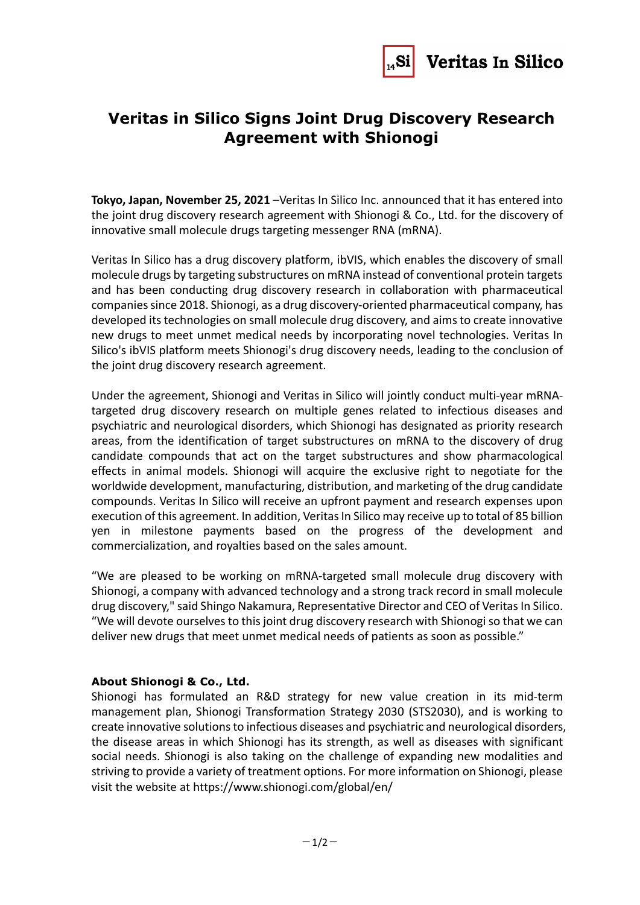

## **Veritas in Silico Signs Joint Drug Discovery Research Agreement with Shionogi**

**Tokyo, Japan, November 25, 2021** –Veritas In Silico Inc. announced that it has entered into the joint drug discovery research agreement with Shionogi & Co., Ltd. for the discovery of innovative small molecule drugs targeting messenger RNA (mRNA).

Veritas In Silico has a drug discovery platform, ibVIS, which enables the discovery of small molecule drugs by targeting substructures on mRNA instead of conventional protein targets and has been conducting drug discovery research in collaboration with pharmaceutical companies since 2018. Shionogi, as a drug discovery-oriented pharmaceutical company, has developed its technologies on small molecule drug discovery, and aims to create innovative new drugs to meet unmet medical needs by incorporating novel technologies. Veritas In Silico's ibVIS platform meets Shionogi's drug discovery needs, leading to the conclusion of the joint drug discovery research agreement.

Under the agreement, Shionogi and Veritas in Silico will jointly conduct multi-year mRNAtargeted drug discovery research on multiple genes related to infectious diseases and psychiatric and neurological disorders, which Shionogi has designated as priority research areas, from the identification of target substructures on mRNA to the discovery of drug candidate compounds that act on the target substructures and show pharmacological effects in animal models. Shionogi will acquire the exclusive right to negotiate for the worldwide development, manufacturing, distribution, and marketing of the drug candidate compounds. Veritas In Silico will receive an upfront payment and research expenses upon execution of this agreement. In addition, Veritas In Silico may receive up to total of 85 billion yen in milestone payments based on the progress of the development and commercialization, and royalties based on the sales amount.

"We are pleased to be working on mRNA-targeted small molecule drug discovery with Shionogi, a company with advanced technology and a strong track record in small molecule drug discovery," said Shingo Nakamura, Representative Director and CEO of Veritas In Silico. "We will devote ourselves to this joint drug discovery research with Shionogi so that we can deliver new drugs that meet unmet medical needs of patients as soon as possible."

## **About Shionogi & Co., Ltd.**

Shionogi has formulated an R&D strategy for new value creation in its mid-term management plan, Shionogi Transformation Strategy 2030 (STS2030), and is working to create innovative solutions to infectious diseases and psychiatric and neurological disorders, the disease areas in which Shionogi has its strength, as well as diseases with significant social needs. Shionogi is also taking on the challenge of expanding new modalities and striving to provide a variety of treatment options. For more information on Shionogi, please visit the website at<https://www.shionogi.com/global/en/>